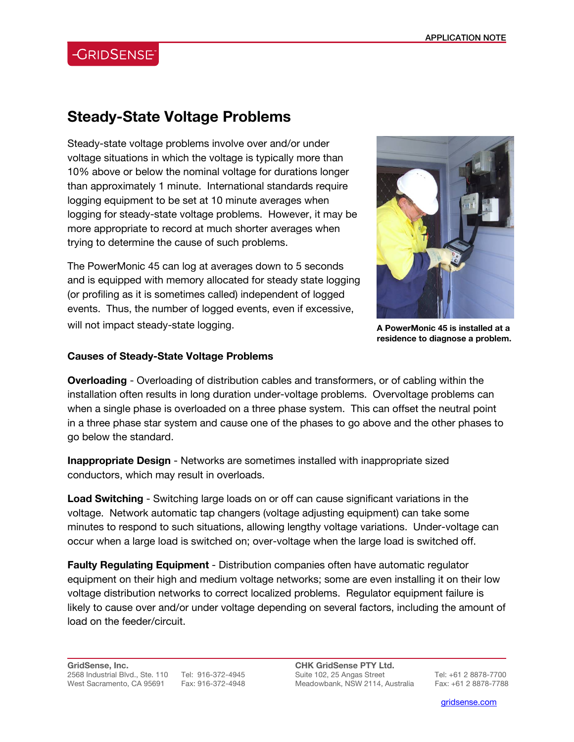# **CRIDSENSE**

## **Steady-State Voltage Problems**

Steady-state voltage problems involve over and/or under voltage situations in which the voltage is typically more than 10% above or below the nominal voltage for durations longer than approximately 1 minute. International standards require logging equipment to be set at 10 minute averages when logging for steady-state voltage problems. However, it may be more appropriate to record at much shorter averages when trying to determine the cause of such problems.

The PowerMonic 45 can log at averages down to 5 seconds and is equipped with memory allocated for steady state logging (or profiling as it is sometimes called) independent of logged events. Thus, the number of logged events, even if excessive, will not impact steady-state logging.



**A PowerMonic 45 is installed at a residence to diagnose a problem.**

#### **Causes of Steady-State Voltage Problems**

**Overloading** - Overloading of distribution cables and transformers, or of cabling within the installation often results in long duration under-voltage problems. Overvoltage problems can when a single phase is overloaded on a three phase system. This can offset the neutral point in a three phase star system and cause one of the phases to go above and the other phases to go below the standard.

**Inappropriate Design** - Networks are sometimes installed with inappropriate sized conductors, which may result in overloads.

**Load Switching** - Switching large loads on or off can cause significant variations in the voltage. Network automatic tap changers (voltage adjusting equipment) can take some minutes to respond to such situations, allowing lengthy voltage variations. Under-voltage can occur when a large load is switched on; over-voltage when the large load is switched off.

**Faulty Regulating Equipment** - Distribution companies often have automatic regulator equipment on their high and medium voltage networks; some are even installing it on their low voltage distribution networks to correct localized problems. Regulator equipment failure is likely to cause over and/or under voltage depending on several factors, including the amount of load on the feeder/circuit.

**CHK GridSense PTY Ltd.**  Suite 102, 25 Angas Street Tel: +61 2 8878-7700 Meadowbank, NSW 2114, Australia Fax: +61 2 8878-7788

l

gridsense.com i de la companya de la companya de la companya de la companya de la companya de la companya de l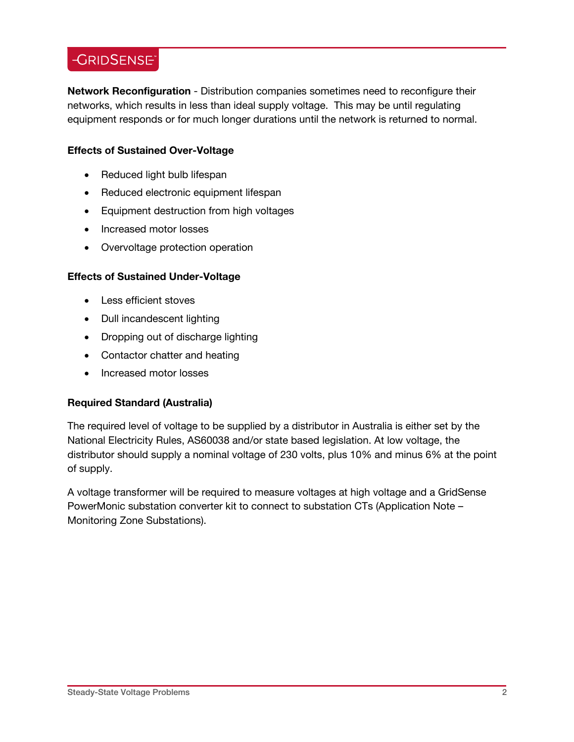### -GRIDSENSE<sup>®</sup>

**Network Reconfiguration** - Distribution companies sometimes need to reconfigure their networks, which results in less than ideal supply voltage. This may be until regulating equipment responds or for much longer durations until the network is returned to normal.

### **Effects of Sustained Over-Voltage**

- Reduced light bulb lifespan
- Reduced electronic equipment lifespan
- Equipment destruction from high voltages
- Increased motor losses
- Overvoltage protection operation

### **Effects of Sustained Under-Voltage**

- Less efficient stoves
- Dull incandescent lighting
- Dropping out of discharge lighting
- Contactor chatter and heating
- Increased motor losses

### **Required Standard (Australia)**

The required level of voltage to be supplied by a distributor in Australia is either set by the National Electricity Rules, AS60038 and/or state based legislation. At low voltage, the distributor should supply a nominal voltage of 230 volts, plus 10% and minus 6% at the point of supply.

A voltage transformer will be required to measure voltages at high voltage and a GridSense PowerMonic substation converter kit to connect to substation CTs (Application Note – Monitoring Zone Substations).

 $\overline{a}$